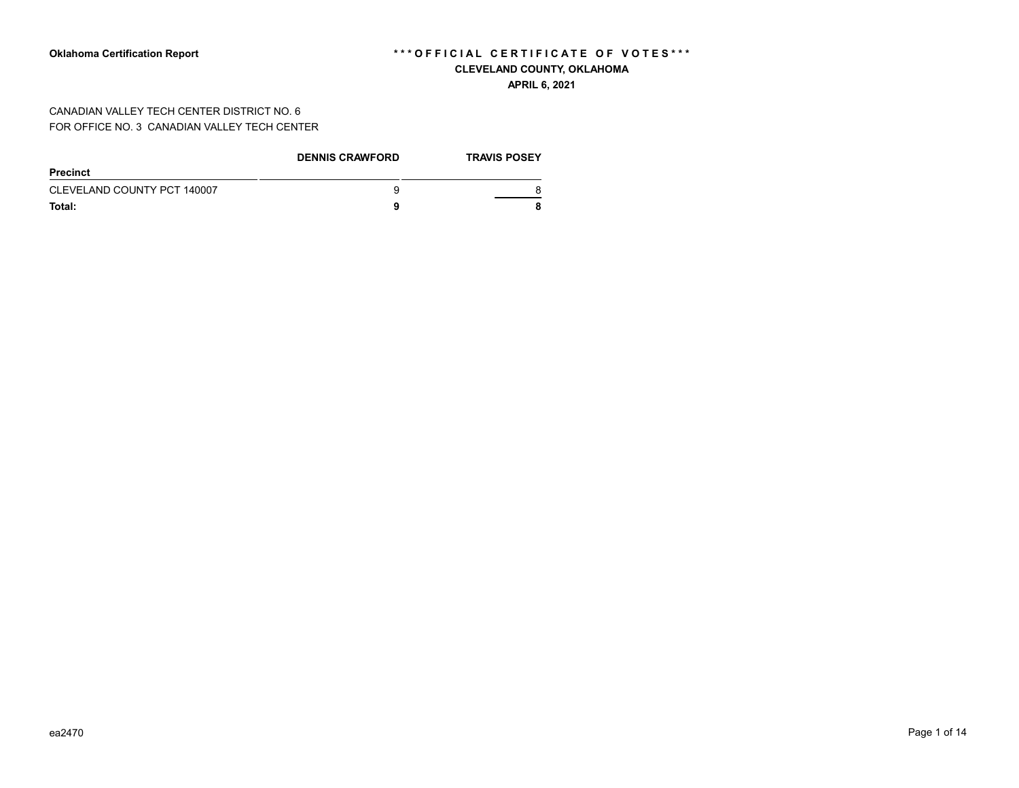**APRIL 6, 2021**

CANADIAN VALLEY TECH CENTER DISTRICT NO. 6 FOR OFFICE NO. 3 CANADIAN VALLEY TECH CENTER

|                             | <b>DENNIS CRAWFORD</b> | <b>TRAVIS POSEY</b> |
|-----------------------------|------------------------|---------------------|
| <b>Precinct</b>             |                        |                     |
| CLEVELAND COUNTY PCT 140007 | 9                      |                     |
| Total:                      | a                      |                     |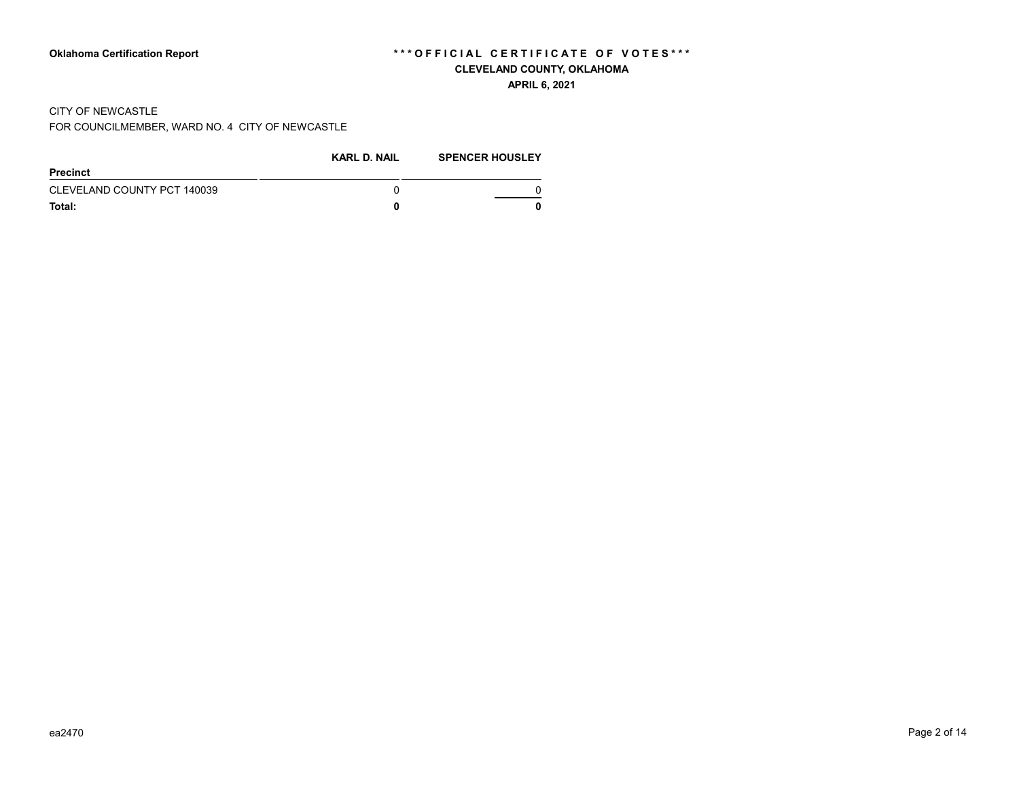#### **APRIL 6, 2021**

#### CITY OF NEWCASTLE

FOR COUNCILMEMBER, WARD NO. 4 CITY OF NEWCASTLE

|                             | <b>KARL D. NAIL</b> | <b>SPENCER HOUSLEY</b> |
|-----------------------------|---------------------|------------------------|
| Precinct                    |                     |                        |
| CLEVELAND COUNTY PCT 140039 |                     |                        |
| Total:                      |                     |                        |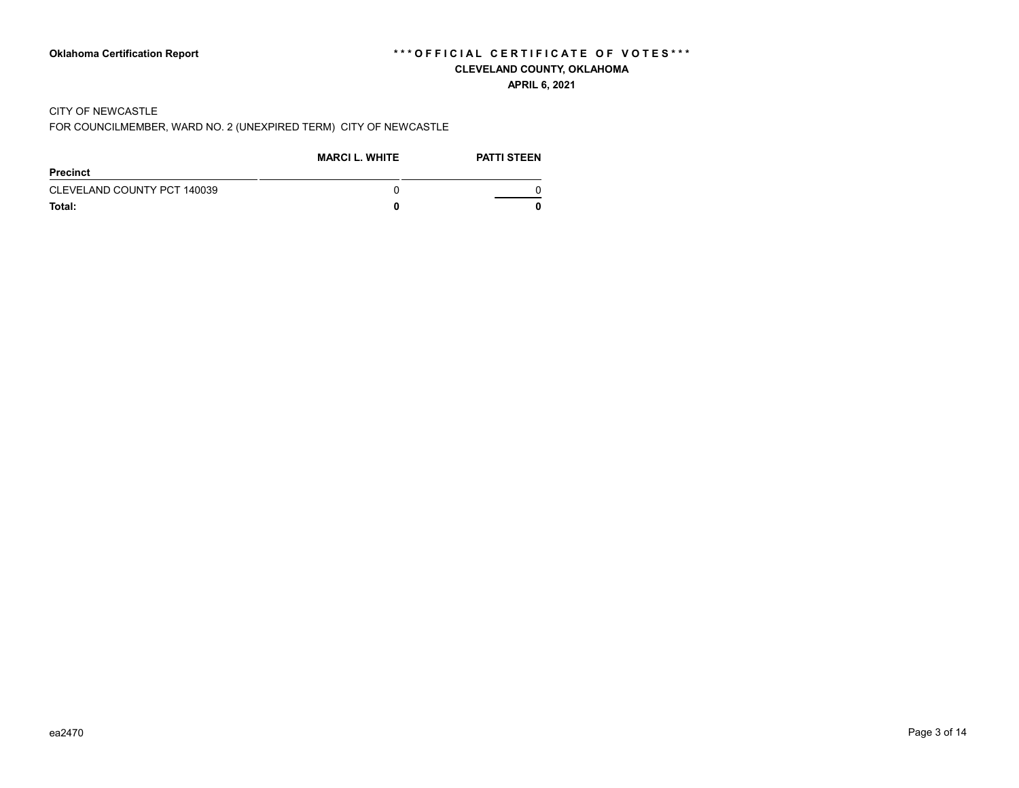#### **APRIL 6, 2021**

#### CITY OF NEWCASTLE

FOR COUNCILMEMBER, WARD NO. 2 (UNEXPIRED TERM) CITY OF NEWCASTLE

|                             | <b>MARCI L. WHITE</b> | <b>PATTI STEEN</b> |
|-----------------------------|-----------------------|--------------------|
| Precinct                    |                       |                    |
| CLEVELAND COUNTY PCT 140039 |                       |                    |
| Total:                      |                       |                    |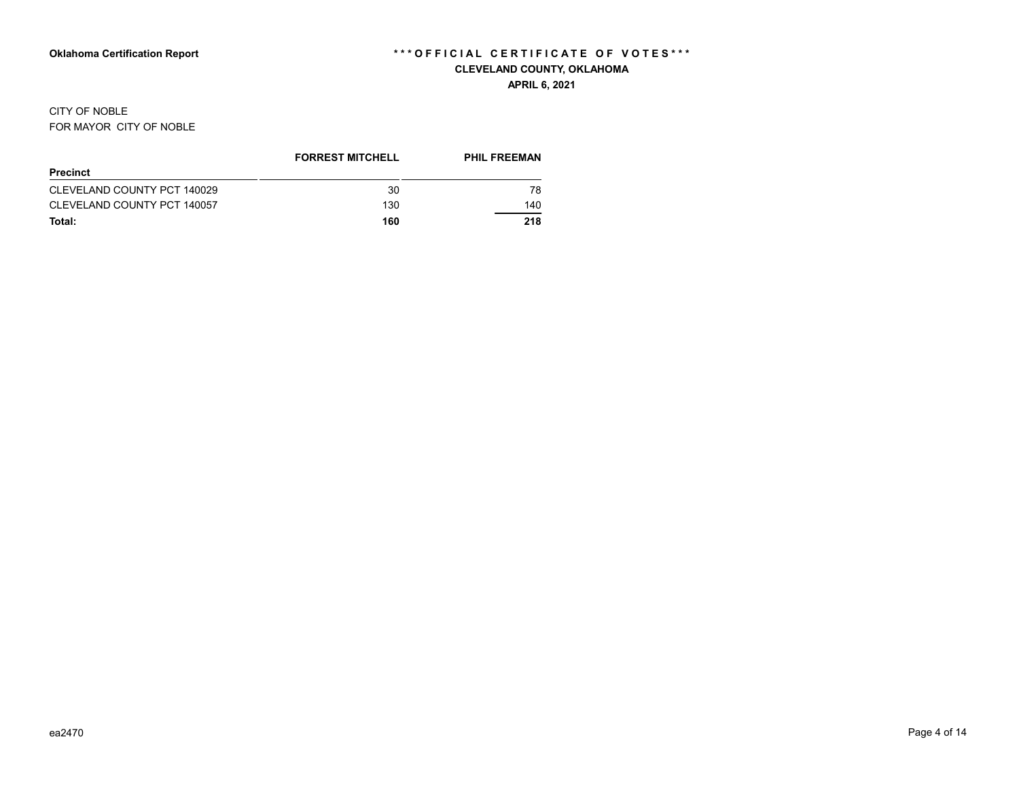#### CITY OF NOBLE FOR MAYOR CITY OF NOBLE

|                             | <b>FORREST MITCHELL</b> | <b>PHIL FREEMAN</b> |
|-----------------------------|-------------------------|---------------------|
| <b>Precinct</b>             |                         |                     |
| CLEVELAND COUNTY PCT 140029 | 30                      | 78                  |
| CLEVELAND COUNTY PCT 140057 | 130                     | 140                 |
| Total:                      | 160                     | 218                 |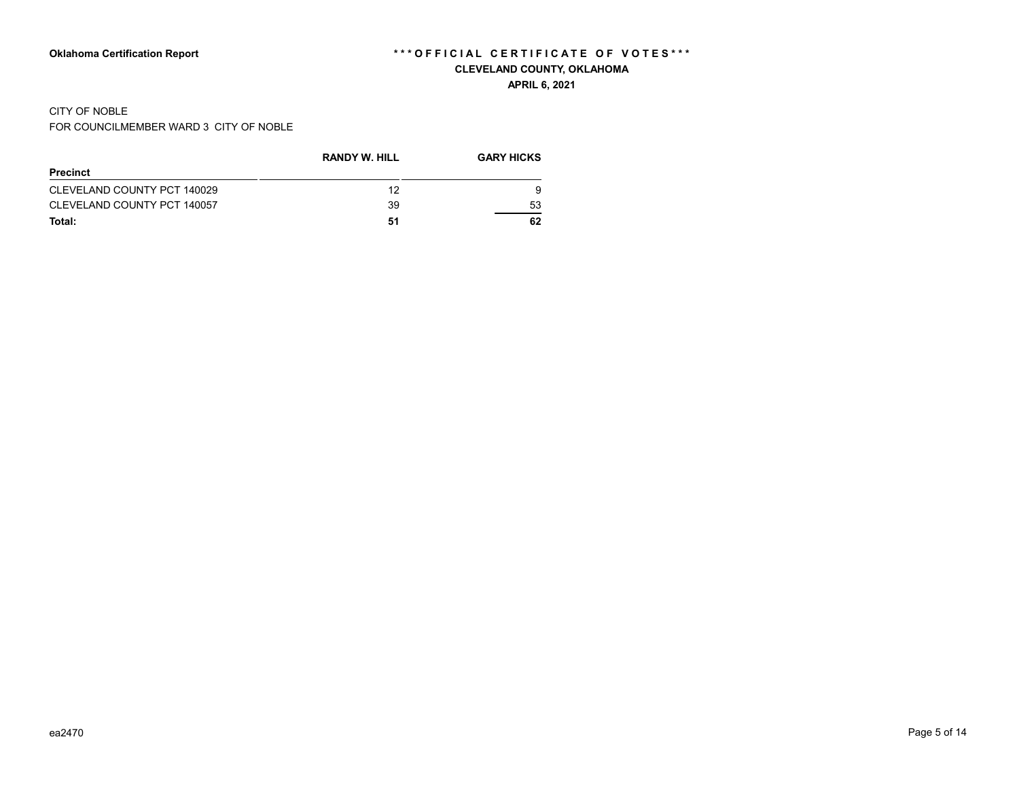# CITY OF NOBLE

FOR COUNCILMEMBER WARD 3 CITY OF NOBLE

|                             | <b>RANDY W. HILL</b> | <b>GARY HICKS</b> |
|-----------------------------|----------------------|-------------------|
| Precinct                    |                      |                   |
| CLEVELAND COUNTY PCT 140029 | 12                   | 9                 |
| CLEVELAND COUNTY PCT 140057 | 39                   | 53                |
| Total:                      | 51                   | 62                |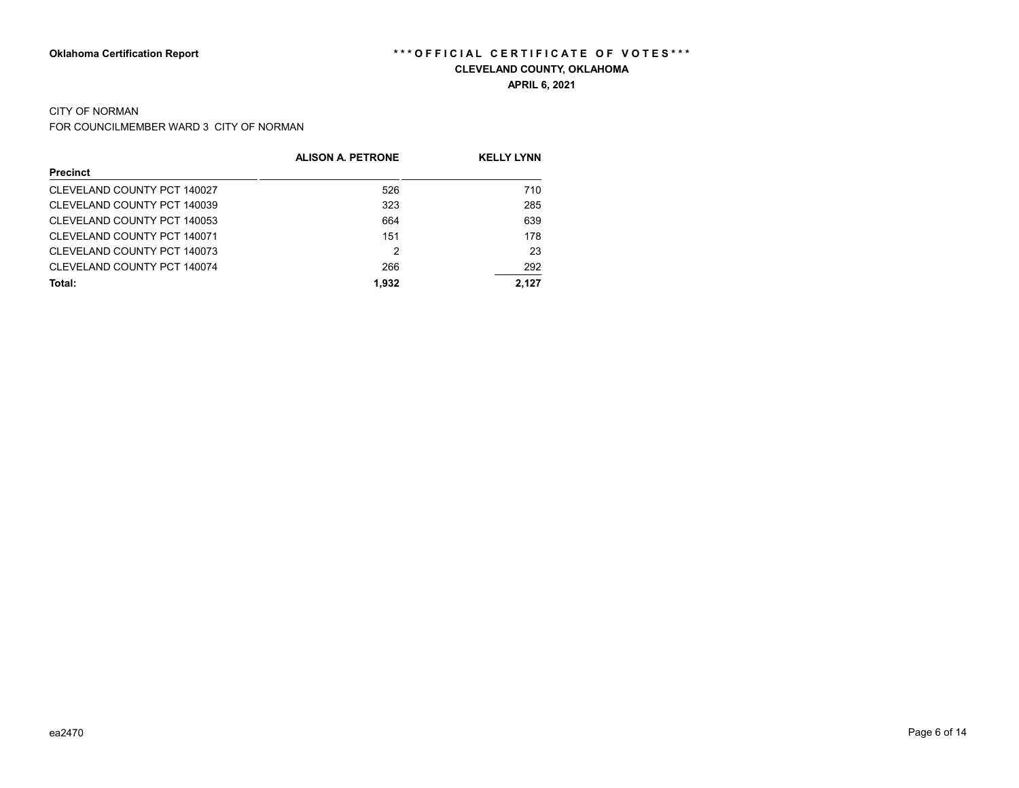#### CITY OF NORMAN

FOR COUNCILMEMBER WARD 3 CITY OF NORMAN

|                             | <b>ALISON A. PETRONE</b> | <b>KELLY LYNN</b> |
|-----------------------------|--------------------------|-------------------|
| <b>Precinct</b>             |                          |                   |
| CLEVELAND COUNTY PCT 140027 | 526                      | 710               |
| CLEVELAND COUNTY PCT 140039 | 323                      | 285               |
| CLEVELAND COUNTY PCT 140053 | 664                      | 639               |
| CLEVELAND COUNTY PCT 140071 | 151                      | 178               |
| CLEVELAND COUNTY PCT 140073 | 2                        | 23                |
| CLEVELAND COUNTY PCT 140074 | 266                      | 292               |
| Total:                      | 1,932                    | 2.127             |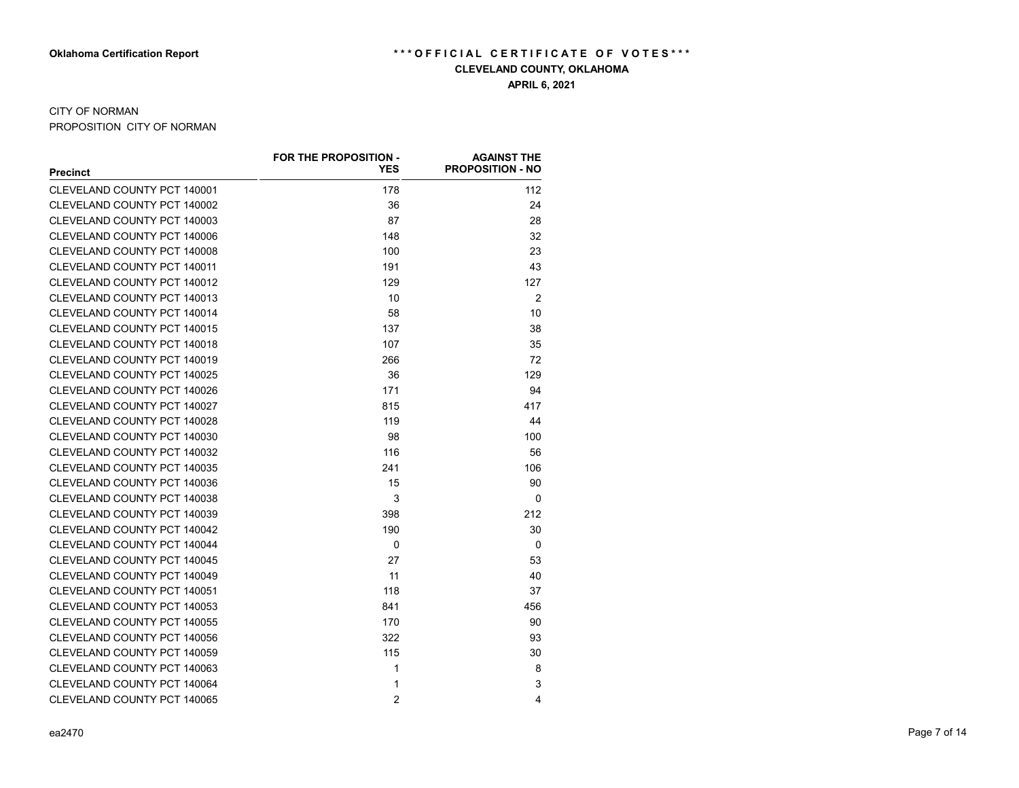## CITY OF NORMAN

PROPOSITION CITY OF NORMAN

|                                    | <b>FOR THE PROPOSITION -</b> | <b>AGAINST THE</b>      |
|------------------------------------|------------------------------|-------------------------|
| <b>Precinct</b>                    | YES                          | <b>PROPOSITION - NO</b> |
| CLEVELAND COUNTY PCT 140001        | 178                          | 112                     |
| CLEVELAND COUNTY PCT 140002        | 36                           | 24                      |
| CLEVELAND COUNTY PCT 140003        | 87                           | 28                      |
| CLEVELAND COUNTY PCT 140006        | 148                          | 32                      |
| CLEVELAND COUNTY PCT 140008        | 100                          | 23                      |
| CLEVELAND COUNTY PCT 140011        | 191                          | 43                      |
| CLEVELAND COUNTY PCT 140012        | 129                          | 127                     |
| CLEVELAND COUNTY PCT 140013        | 10                           | 2                       |
| CLEVELAND COUNTY PCT 140014        | 58                           | 10                      |
| CLEVELAND COUNTY PCT 140015        | 137                          | 38                      |
| CLEVELAND COUNTY PCT 140018        | 107                          | 35                      |
| CLEVELAND COUNTY PCT 140019        | 266                          | 72                      |
| CLEVELAND COUNTY PCT 140025        | 36                           | 129                     |
| CLEVELAND COUNTY PCT 140026        | 171                          | 94                      |
| CLEVELAND COUNTY PCT 140027        | 815                          | 417                     |
| CLEVELAND COUNTY PCT 140028        | 119                          | 44                      |
| CLEVELAND COUNTY PCT 140030        | 98                           | 100                     |
| CLEVELAND COUNTY PCT 140032        | 116                          | 56                      |
| CLEVELAND COUNTY PCT 140035        | 241                          | 106                     |
| CLEVELAND COUNTY PCT 140036        | 15                           | 90                      |
| CLEVELAND COUNTY PCT 140038        | 3                            | $\Omega$                |
| CLEVELAND COUNTY PCT 140039        | 398                          | 212                     |
| CLEVELAND COUNTY PCT 140042        | 190                          | 30                      |
| CLEVELAND COUNTY PCT 140044        | 0                            | 0                       |
| CLEVELAND COUNTY PCT 140045        | 27                           | 53                      |
| CLEVELAND COUNTY PCT 140049        | 11                           | 40                      |
| CLEVELAND COUNTY PCT 140051        | 118                          | 37                      |
| CLEVELAND COUNTY PCT 140053        | 841                          | 456                     |
| CLEVELAND COUNTY PCT 140055        | 170                          | 90                      |
| CLEVELAND COUNTY PCT 140056        | 322                          | 93                      |
| CLEVELAND COUNTY PCT 140059        | 115                          | 30                      |
| <b>CLEVELAND COUNTY PCT 140063</b> | $\mathbf{1}$                 | 8                       |
| CLEVELAND COUNTY PCT 140064        | $\mathbf{1}$                 | 3                       |
| CLEVELAND COUNTY PCT 140065        | $\overline{2}$               | 4                       |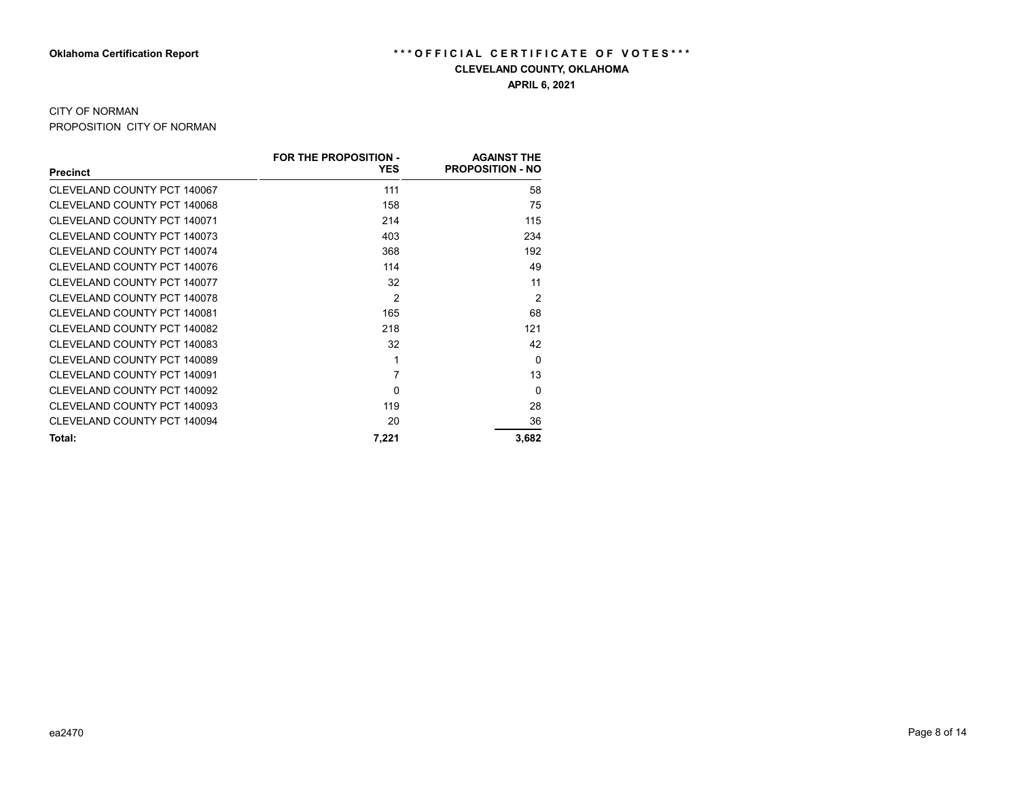# CITY OF NORMAN

PROPOSITION CITY OF NORMAN

|                             | <b>FOR THE PROPOSITION -</b> | <b>AGAINST THE</b>      |
|-----------------------------|------------------------------|-------------------------|
| <b>Precinct</b>             | <b>YES</b>                   | <b>PROPOSITION - NO</b> |
| CLEVELAND COUNTY PCT 140067 | 111                          | 58                      |
| CLEVELAND COUNTY PCT 140068 | 158                          | 75                      |
| CLEVELAND COUNTY PCT 140071 | 214                          | 115                     |
| CLEVELAND COUNTY PCT 140073 | 403                          | 234                     |
| CLEVELAND COUNTY PCT 140074 | 368                          | 192                     |
| CLEVELAND COUNTY PCT 140076 | 114                          | 49                      |
| CLEVELAND COUNTY PCT 140077 | 32                           | 11                      |
| CLEVELAND COUNTY PCT 140078 | $\mathfrak{p}$               | $\overline{2}$          |
| CLEVELAND COUNTY PCT 140081 | 165                          | 68                      |
| CLEVELAND COUNTY PCT 140082 | 218                          | 121                     |
| CLEVELAND COUNTY PCT 140083 | 32                           | 42                      |
| CLEVELAND COUNTY PCT 140089 | 1                            | $\Omega$                |
| CLEVELAND COUNTY PCT 140091 | 7                            | 13                      |
| CLEVELAND COUNTY PCT 140092 | 0                            | $\Omega$                |
| CLEVELAND COUNTY PCT 140093 | 119                          | 28                      |
| CLEVELAND COUNTY PCT 140094 | 20                           | 36                      |
| Total:                      | 7,221                        | 3,682                   |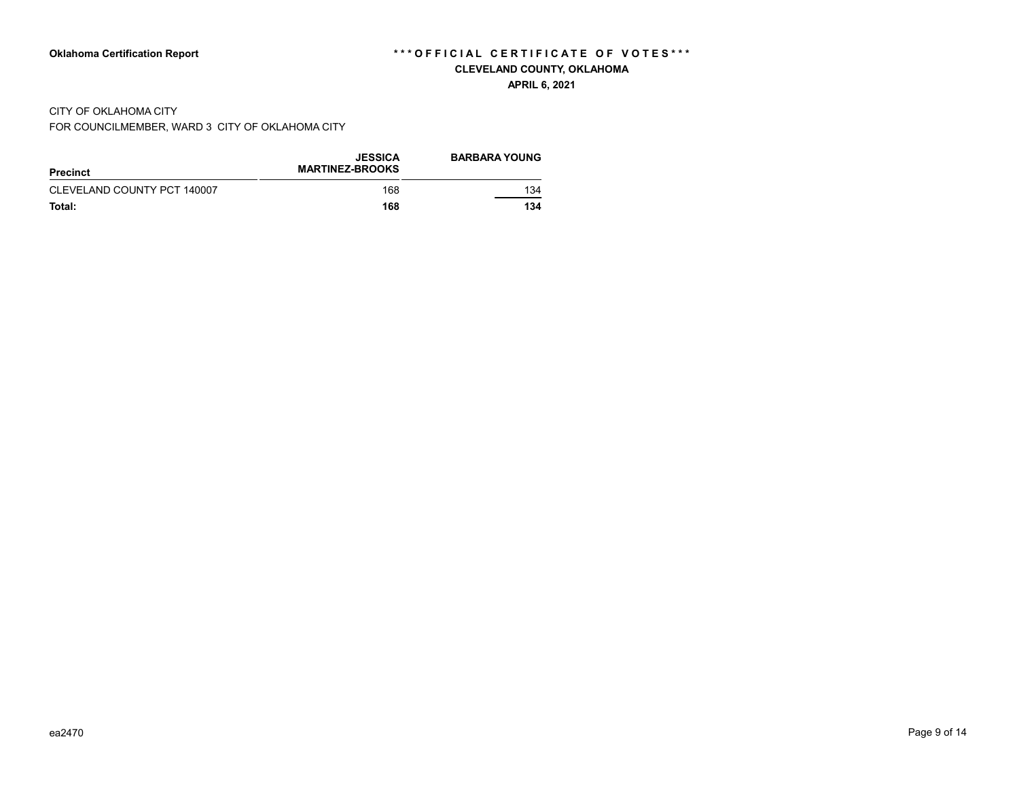#### **APRIL 6, 2021**

#### CITY OF OKLAHOMA CITY

FOR COUNCILMEMBER, WARD 3 CITY OF OKLAHOMA CITY

| Precinct                    | <b>JESSICA</b><br><b>MARTINEZ-BROOKS</b> | <b>BARBARA YOUNG</b> |
|-----------------------------|------------------------------------------|----------------------|
| CLEVELAND COUNTY PCT 140007 | 168                                      | 134                  |
| Total:                      | 168                                      | 134                  |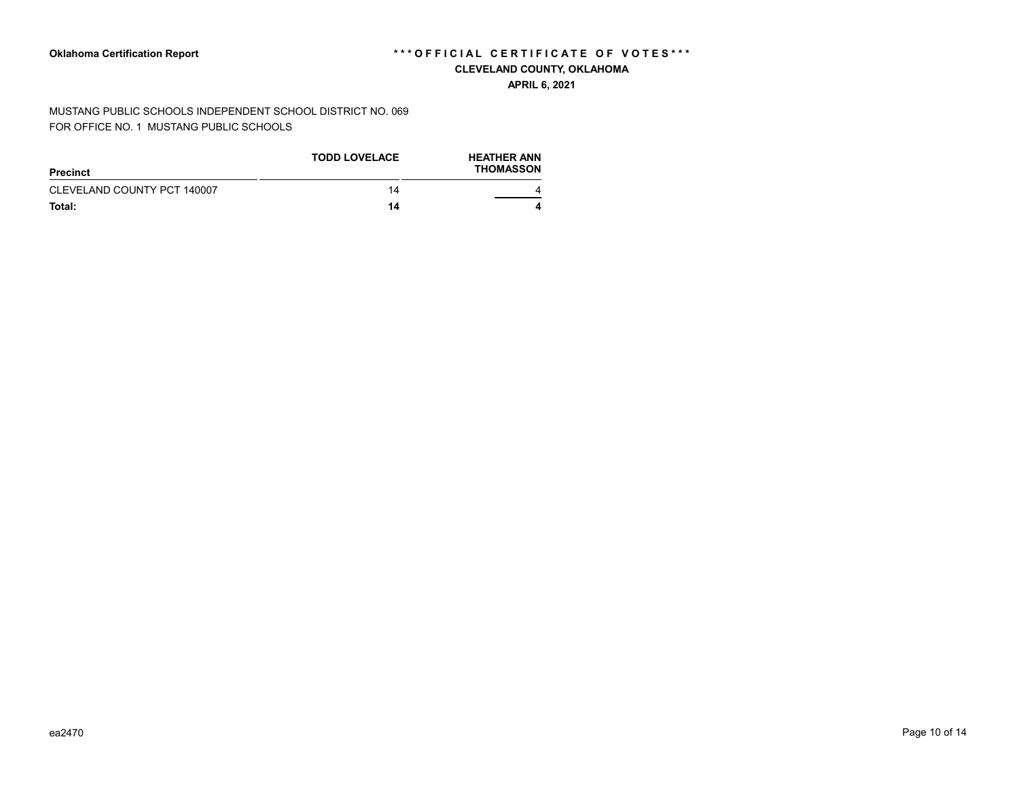**APRIL 6, 2021**

MUSTANG PUBLIC SCHOOLS INDEPENDENT SCHOOL DISTRICT NO. 069 FOR OFFICE NO. 1 MUSTANG PUBLIC SCHOOLS

| Precinct                    | <b>TODD LOVELACE</b> | <b>HEATHER ANN</b><br><b>THOMASSON</b> |
|-----------------------------|----------------------|----------------------------------------|
| CLEVELAND COUNTY PCT 140007 | 14                   |                                        |
| Total:                      | 14                   |                                        |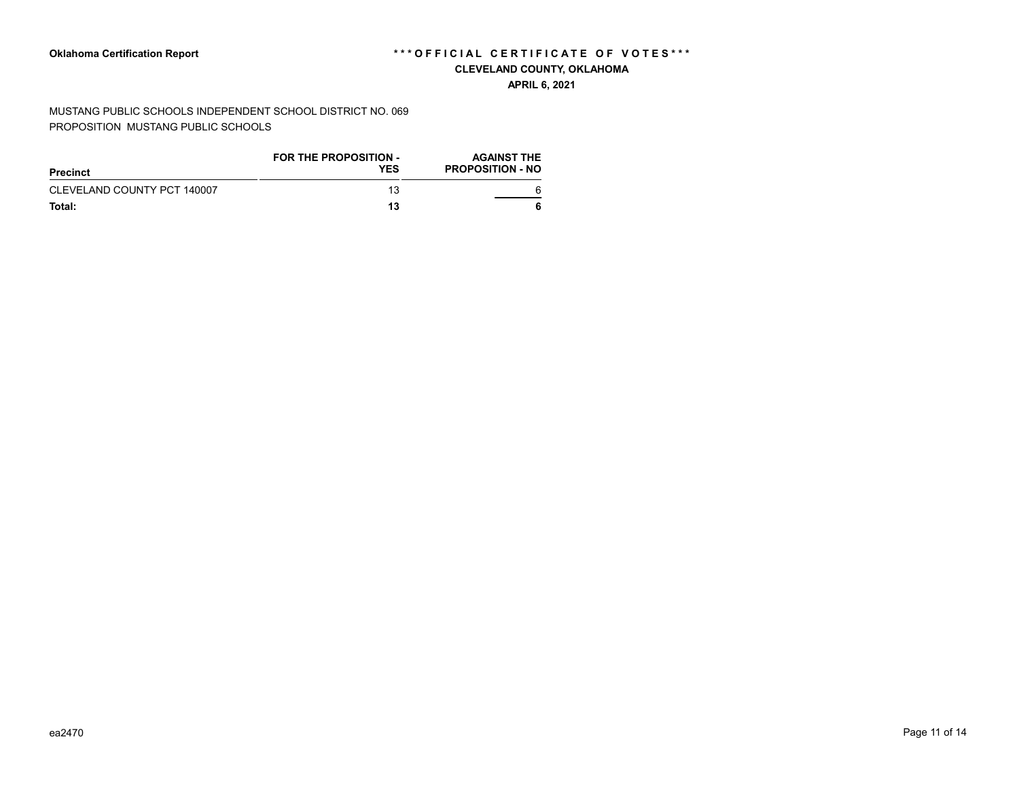#### **APRIL 6, 2021**

MUSTANG PUBLIC SCHOOLS INDEPENDENT SCHOOL DISTRICT NO. 069 PROPOSITION MUSTANG PUBLIC SCHOOLS

| Precinct                    | <b>FOR THE PROPOSITION -</b><br><b>YES</b> | <b>AGAINST THE</b><br><b>PROPOSITION - NO</b> |
|-----------------------------|--------------------------------------------|-----------------------------------------------|
| CLEVELAND COUNTY PCT 140007 | 13                                         |                                               |
| Total:                      | 13                                         |                                               |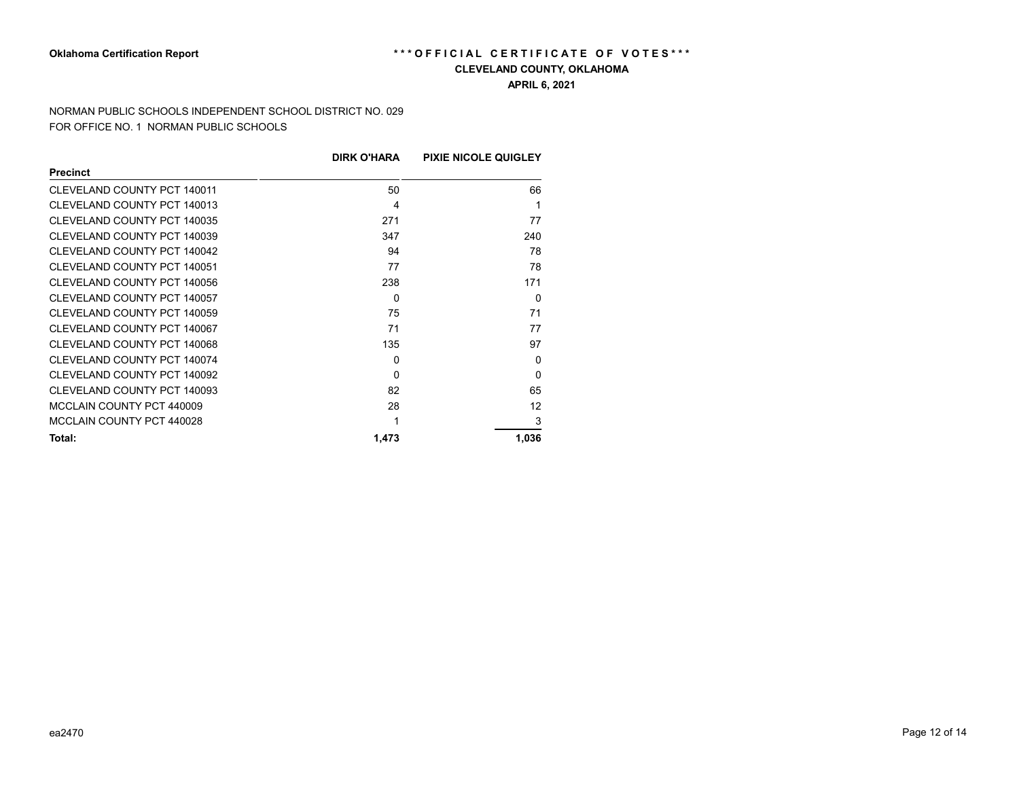# Oklahoma Certification Report *\*\*\** OFFICIAL CERTIFICATE OF VOTES\*\*\*

#### **CLEVELAND COUNTY, OKLAHOMA**

**APRIL 6, 2021**

NORMAN PUBLIC SCHOOLS INDEPENDENT SCHOOL DISTRICT NO. 029 FOR OFFICE NO. 1 NORMAN PUBLIC SCHOOLS

|                             | <b>DIRK O'HARA</b> | <b>PIXIE NICOLE QUIGLEY</b> |
|-----------------------------|--------------------|-----------------------------|
| <b>Precinct</b>             |                    |                             |
| CLEVELAND COUNTY PCT 140011 | 50                 | 66                          |
| CLEVELAND COUNTY PCT 140013 | 4                  |                             |
| CLEVELAND COUNTY PCT 140035 | 271                | 77                          |
| CLEVELAND COUNTY PCT 140039 | 347                | 240                         |
| CLEVELAND COUNTY PCT 140042 | 94                 | 78                          |
| CLEVELAND COUNTY PCT 140051 | 77                 | 78                          |
| CLEVELAND COUNTY PCT 140056 | 238                | 171                         |
| CLEVELAND COUNTY PCT 140057 | $\mathbf{0}$       | $\Omega$                    |
| CLEVELAND COUNTY PCT 140059 | 75                 | 71                          |
| CLEVELAND COUNTY PCT 140067 | 71                 | 77                          |
| CLEVELAND COUNTY PCT 140068 | 135                | 97                          |
| CLEVELAND COUNTY PCT 140074 | 0                  | $\Omega$                    |
| CLEVELAND COUNTY PCT 140092 | $\Omega$           | $\Omega$                    |
| CLEVELAND COUNTY PCT 140093 | 82                 | 65                          |
| MCCLAIN COUNTY PCT 440009   | 28                 | 12                          |
| MCCLAIN COUNTY PCT 440028   |                    | 3                           |
| Total:                      | 1,473              | 1,036                       |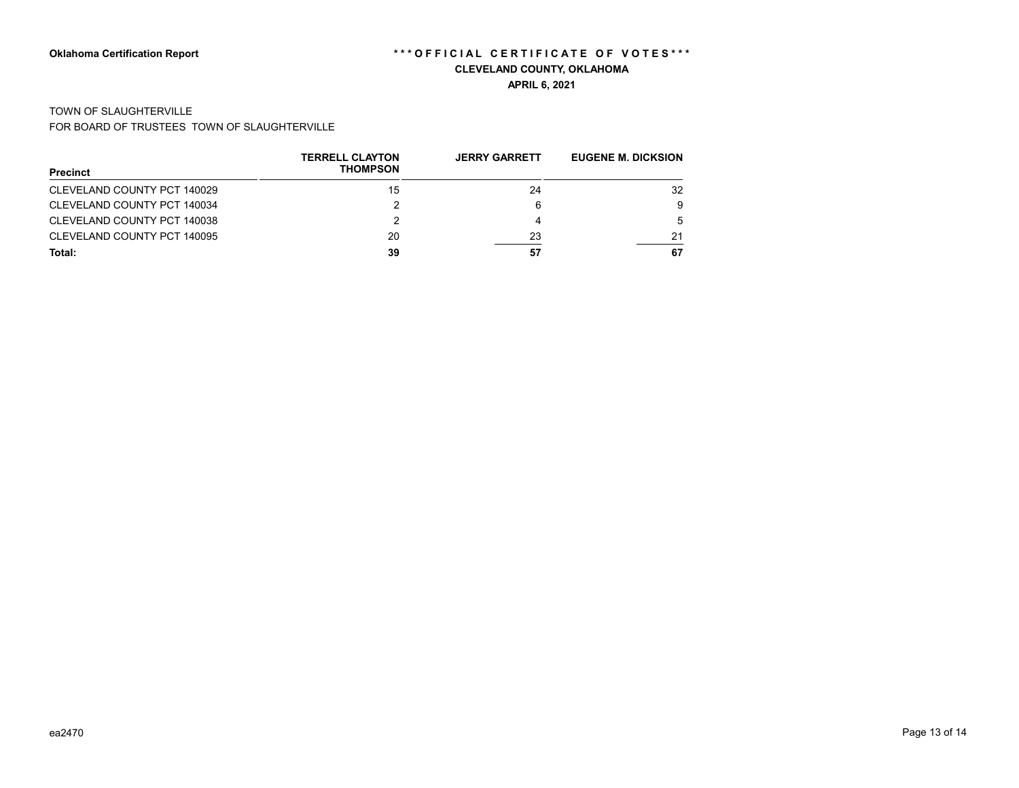#### TOWN OF SLAUGHTERVILLE

FOR BOARD OF TRUSTEES TOWN OF SLAUGHTERVILLE

| <b>Precinct</b>             | <b>TERRELL CLAYTON</b><br><b>THOMPSON</b> | <b>JERRY GARRETT</b> | <b>EUGENE M. DICKSION</b> |
|-----------------------------|-------------------------------------------|----------------------|---------------------------|
|                             |                                           |                      |                           |
| CLEVELAND COUNTY PCT 140029 | 15                                        | 24                   | 32                        |
| CLEVELAND COUNTY PCT 140034 |                                           | 6                    | 9                         |
| CLEVELAND COUNTY PCT 140038 |                                           | 4                    |                           |
| CLEVELAND COUNTY PCT 140095 | 20                                        | 23                   | 21                        |
| Total:                      | 39                                        | 57                   | 67                        |